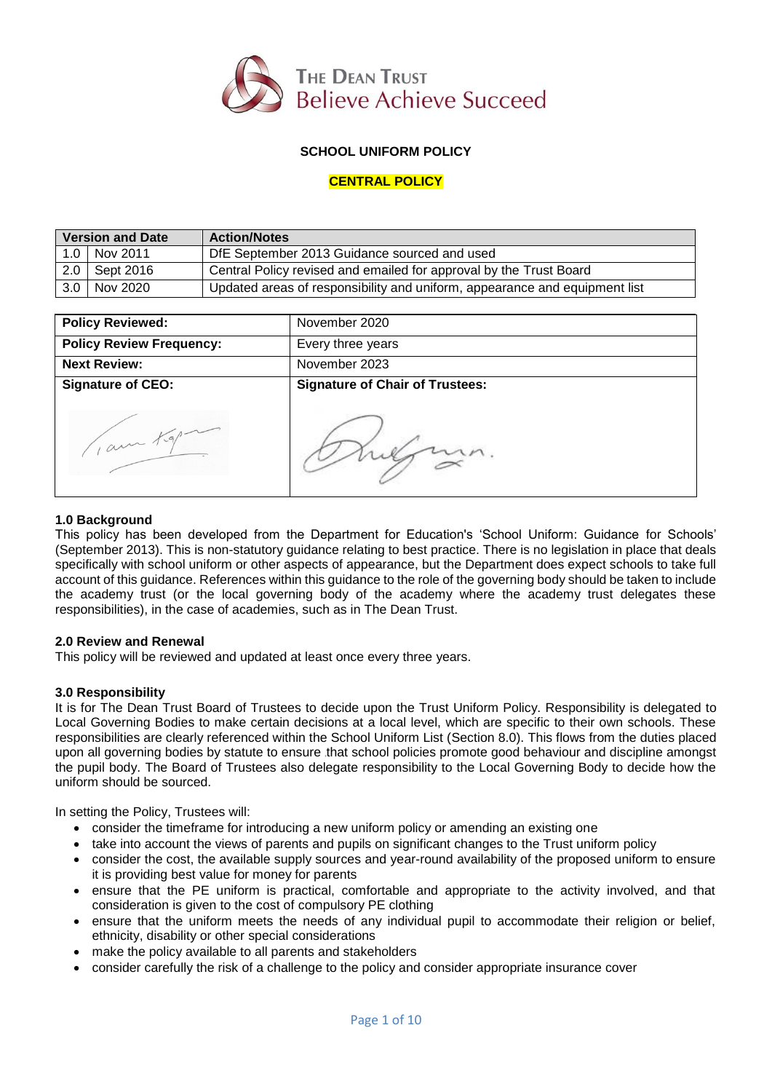

## **SCHOOL UNIFORM POLICY**

## **CENTRAL POLICY**

| <b>Version and Date</b> |                 | <b>Action/Notes</b>                                                        |
|-------------------------|-----------------|----------------------------------------------------------------------------|
|                         | 1.0   Nov 2011  | DfE September 2013 Guidance sourced and used                               |
|                         | $2.0$ Sept 2016 | Central Policy revised and emailed for approval by the Trust Board         |
| 3.0 <sub>1</sub>        | Nov 2020        | Updated areas of responsibility and uniform, appearance and equipment list |

| <b>Policy Reviewed:</b>         | November 2020                          |
|---------------------------------|----------------------------------------|
| <b>Policy Review Frequency:</b> | Every three years                      |
| <b>Next Review:</b>             | November 2023                          |
| <b>Signature of CEO:</b>        | <b>Signature of Chair of Trustees:</b> |
| 1, am Kgp                       |                                        |

### **1.0 Background**

This policy has been developed from the Department for Education's 'School Uniform: Guidance for Schools' (September 2013). This is non-statutory guidance relating to best practice. There is no legislation in place that deals specifically with school uniform or other aspects of appearance, but the Department does expect schools to take full account of this guidance. References within this guidance to the role of the governing body should be taken to include the academy trust (or the local governing body of the academy where the academy trust delegates these responsibilities), in the case of academies, such as in The Dean Trust.

#### **2.0 Review and Renewal**

This policy will be reviewed and updated at least once every three years.

#### **3.0 Responsibility**

It is for The Dean Trust Board of Trustees to decide upon the Trust Uniform Policy. Responsibility is delegated to Local Governing Bodies to make certain decisions at a local level, which are specific to their own schools. These responsibilities are clearly referenced within the School Uniform List (Section 8.0). This flows from the duties placed upon all governing bodies by statute to ensure that school policies promote good behaviour and discipline amongst the pupil body. The Board of Trustees also delegate responsibility to the Local Governing Body to decide how the uniform should be sourced.

In setting the Policy, Trustees will:

- consider the timeframe for introducing a new uniform policy or amending an existing one
- take into account the views of parents and pupils on significant changes to the Trust uniform policy
- consider the cost, the available supply sources and year-round availability of the proposed uniform to ensure it is providing best value for money for parents
- ensure that the PE uniform is practical, comfortable and appropriate to the activity involved, and that consideration is given to the cost of compulsory PE clothing
- ensure that the uniform meets the needs of any individual pupil to accommodate their religion or belief, ethnicity, disability or other special considerations
- make the policy available to all parents and stakeholders
- consider carefully the risk of a challenge to the policy and consider appropriate insurance cover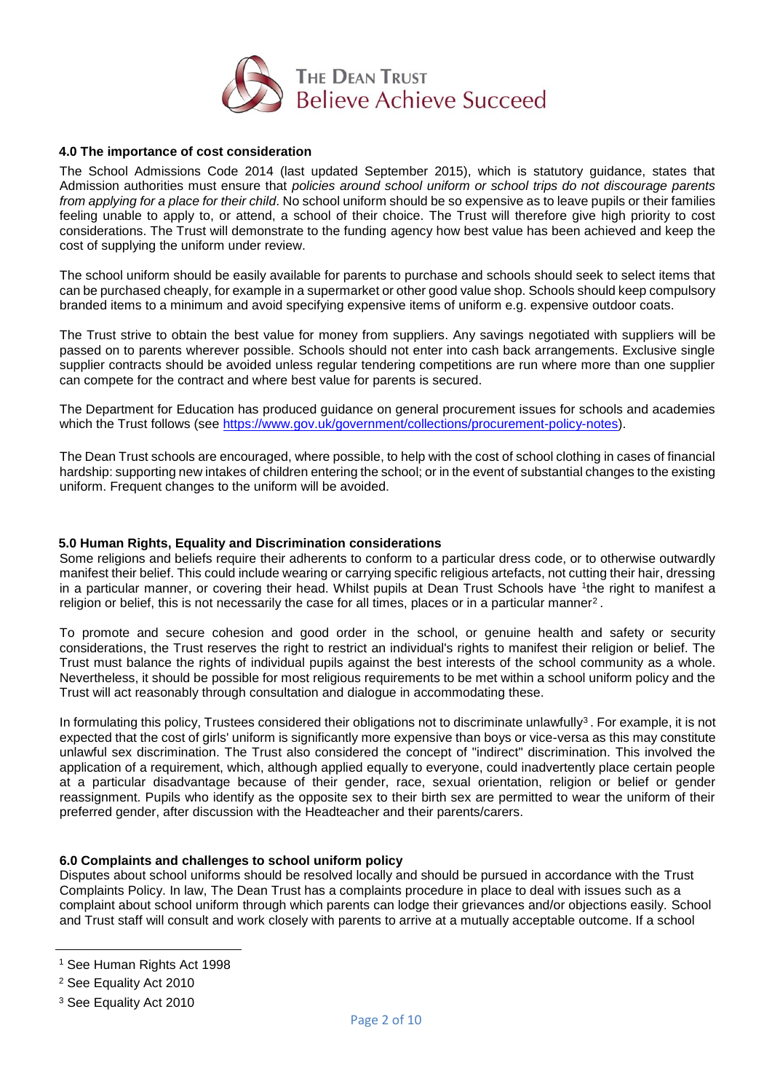

### **4.0 The importance of cost consideration**

The School Admissions Code 2014 (last updated September 2015), which is statutory guidance, states that Admission authorities must ensure that *policies around school uniform or school trips do not discourage parents from applying for a place for their child*. No school uniform should be so expensive as to leave pupils or their families feeling unable to apply to, or attend, a school of their choice. The Trust will therefore give high priority to cost considerations. The Trust will demonstrate to the funding agency how best value has been achieved and keep the cost of supplying the uniform under review.

The school uniform should be easily available for parents to purchase and schools should seek to select items that can be purchased cheaply, for example in a supermarket or other good value shop. Schools should keep compulsory branded items to a minimum and avoid specifying expensive items of uniform e.g. expensive outdoor coats.

The Trust strive to obtain the best value for money from suppliers. Any savings negotiated with suppliers will be passed on to parents wherever possible. Schools should not enter into cash back arrangements. Exclusive single supplier contracts should be avoided unless regular tendering competitions are run where more than one supplier can compete for the contract and where best value for parents is secured.

The Department for Education has produced guidance on general procurement issues for schools and academies which the Trust follows (see [https://www.gov.uk/government/collections/procurement-policy-notes\)](https://www.gov.uk/government/collections/procurement-policy-notes).

The Dean Trust schools are encouraged, where possible, to help with the cost of school clothing in cases of financial hardship: supporting new intakes of children entering the school; or in the event of substantial changes to the existing uniform. Frequent changes to the uniform will be avoided.

### **5.0 Human Rights, Equality and Discrimination considerations**

Some religions and beliefs require their adherents to conform to a particular dress code, or to otherwise outwardly manifest their belief. This could include wearing or carrying specific religious artefacts, not cutting their hair, dressing in a particular manner, or covering their head. Whilst pupils at Dean Trust Schools have <sup>1</sup> the right to manifest a religion or belief, this is not necessarily the case for all times, places or in a particular manner<sup>2</sup>.

To promote and secure cohesion and good order in the school, or genuine health and safety or security considerations, the Trust reserves the right to restrict an individual's rights to manifest their religion or belief. The Trust must balance the rights of individual pupils against the best interests of the school community as a whole. Nevertheless, it should be possible for most religious requirements to be met within a school uniform policy and the Trust will act reasonably through consultation and dialogue in accommodating these.

In formulating this policy, Trustees considered their obligations not to discriminate unlawfully<sup>3</sup>. For example, it is not expected that the cost of girls' uniform is significantly more expensive than boys or vice-versa as this may constitute unlawful sex discrimination. The Trust also considered the concept of "indirect" discrimination. This involved the application of a requirement, which, although applied equally to everyone, could inadvertently place certain people at a particular disadvantage because of their gender, race, sexual orientation, religion or belief or gender reassignment. Pupils who identify as the opposite sex to their birth sex are permitted to wear the uniform of their preferred gender, after discussion with the Headteacher and their parents/carers.

#### **6.0 Complaints and challenges to school uniform policy**

Disputes about school uniforms should be resolved locally and should be pursued in accordance with the Trust Complaints Policy. In law, The Dean Trust has a complaints procedure in place to deal with issues such as a complaint about school uniform through which parents can lodge their grievances and/or objections easily. School and Trust staff will consult and work closely with parents to arrive at a mutually acceptable outcome. If a school

 $\overline{a}$ 

<sup>1</sup> See Human Rights Act 1998

<sup>2</sup> See Equality Act 2010

<sup>3</sup> See Equality Act 2010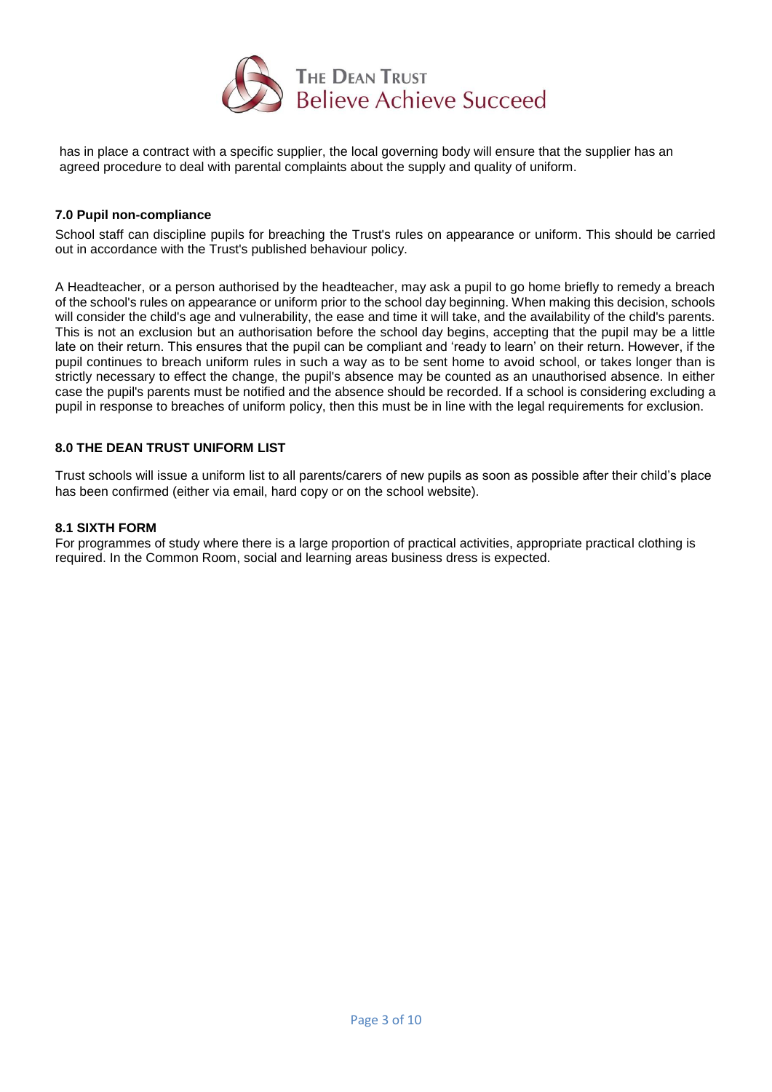

has in place a contract with a specific supplier, the local governing body will ensure that the supplier has an agreed procedure to deal with parental complaints about the supply and quality of uniform.

### **7.0 Pupil non-compliance**

School staff can discipline pupils for breaching the Trust's rules on appearance or uniform. This should be carried out in accordance with the Trust's published behaviour policy.

A Headteacher, or a person authorised by the headteacher, may ask a pupil to go home briefly to remedy a breach of the school's rules on appearance or uniform prior to the school day beginning. When making this decision, schools will consider the child's age and vulnerability, the ease and time it will take, and the availability of the child's parents. This is not an exclusion but an authorisation before the school day begins, accepting that the pupil may be a little late on their return. This ensures that the pupil can be compliant and 'ready to learn' on their return. However, if the pupil continues to breach uniform rules in such a way as to be sent home to avoid school, or takes longer than is strictly necessary to effect the change, the pupil's absence may be counted as an unauthorised absence. In either case the pupil's parents must be notified and the absence should be recorded. If a school is considering excluding a pupil in response to breaches of uniform policy, then this must be in line with the legal requirements for exclusion.

### **8.0 THE DEAN TRUST UNIFORM LIST**

Trust schools will issue a uniform list to all parents/carers of new pupils as soon as possible after their child's place has been confirmed (either via email, hard copy or on the school website).

#### **8.1 SIXTH FORM**

For programmes of study where there is a large proportion of practical activities, appropriate practical clothing is required. In the Common Room, social and learning areas business dress is expected.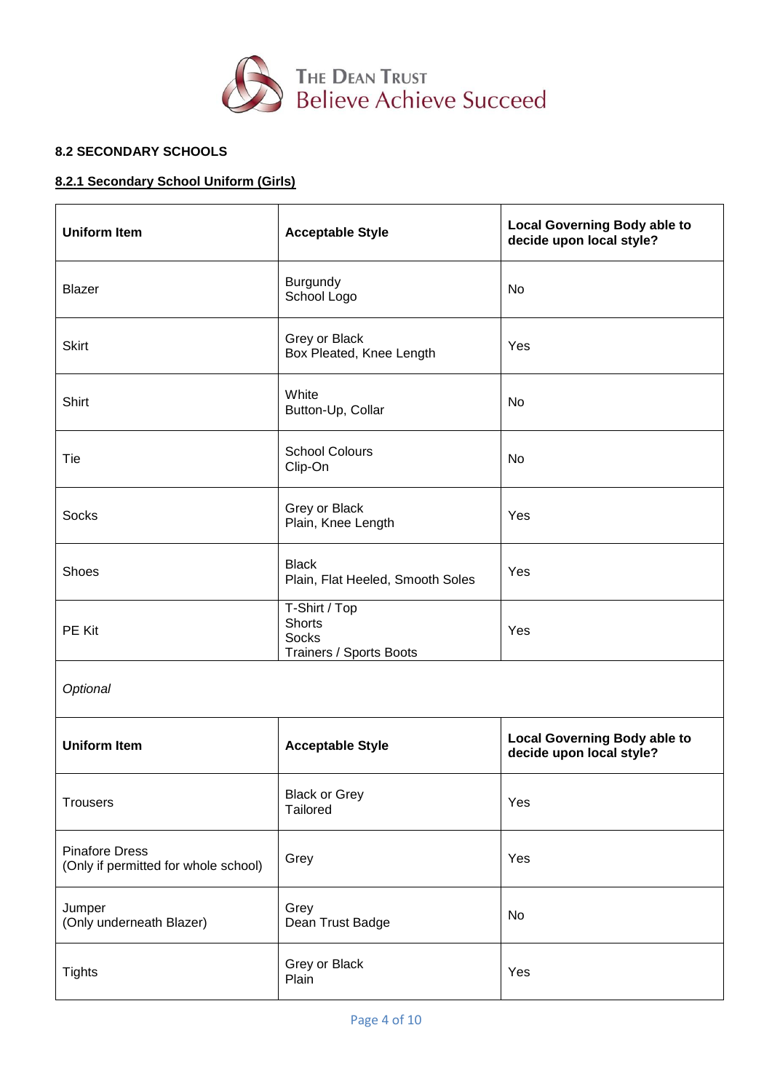

# **8.2 SECONDARY SCHOOLS**

# **8.2.1 Secondary School Uniform (Girls)**

| <b>Uniform Item</b>                                           | <b>Acceptable Style</b>                                                   | <b>Local Governing Body able to</b><br>decide upon local style? |  |
|---------------------------------------------------------------|---------------------------------------------------------------------------|-----------------------------------------------------------------|--|
| <b>Blazer</b>                                                 | Burgundy<br>School Logo                                                   | No                                                              |  |
| <b>Skirt</b>                                                  | Grey or Black<br>Box Pleated, Knee Length                                 | Yes                                                             |  |
| Shirt                                                         | White<br>Button-Up, Collar                                                | No                                                              |  |
| Tie                                                           | <b>School Colours</b><br>Clip-On                                          | <b>No</b>                                                       |  |
| <b>Socks</b>                                                  | Grey or Black<br>Plain, Knee Length                                       | Yes                                                             |  |
| Shoes                                                         | <b>Black</b><br>Plain, Flat Heeled, Smooth Soles                          |                                                                 |  |
| PE Kit                                                        | T-Shirt / Top<br><b>Shorts</b><br><b>Socks</b><br>Trainers / Sports Boots | Yes                                                             |  |
| Optional                                                      |                                                                           |                                                                 |  |
| <b>Uniform Item</b>                                           | <b>Acceptable Style</b>                                                   | <b>Local Governing Body able to</b><br>decide upon local style? |  |
| <b>Trousers</b>                                               | <b>Black or Grey</b><br>Tailored                                          | Yes                                                             |  |
| <b>Pinafore Dress</b><br>(Only if permitted for whole school) | Grey                                                                      | Yes                                                             |  |
| Jumper<br>(Only underneath Blazer)                            | Grey<br>Dean Trust Badge                                                  | No                                                              |  |
| Grey or Black<br><b>Tights</b><br>Plain                       |                                                                           | Yes                                                             |  |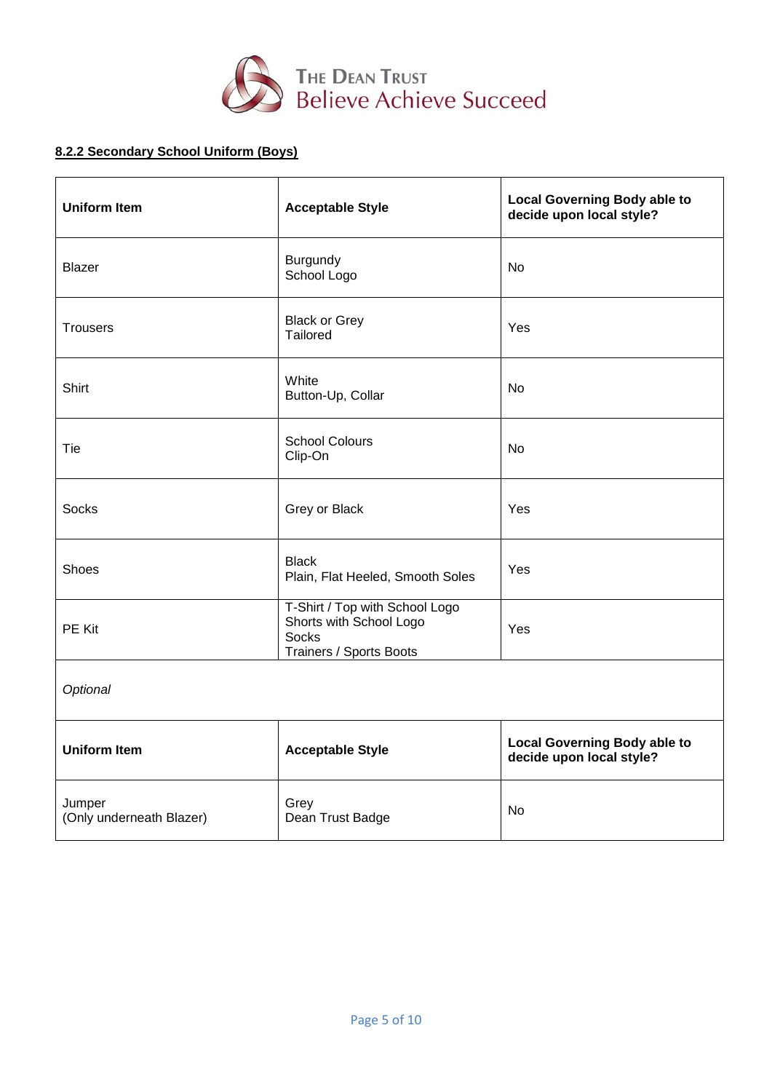

# **8.2.2 Secondary School Uniform (Boys)**

| <b>Uniform Item</b>                | <b>Acceptable Style</b>                                                                              | <b>Local Governing Body able to</b><br>decide upon local style? |  |
|------------------------------------|------------------------------------------------------------------------------------------------------|-----------------------------------------------------------------|--|
| <b>Blazer</b>                      | Burgundy<br>School Logo                                                                              | <b>No</b>                                                       |  |
| <b>Trousers</b>                    | <b>Black or Grey</b><br>Tailored                                                                     | Yes                                                             |  |
| Shirt                              | White<br>Button-Up, Collar                                                                           | N <sub>o</sub>                                                  |  |
| Tie                                | <b>School Colours</b><br>Clip-On                                                                     | <b>No</b>                                                       |  |
| <b>Socks</b>                       | Grey or Black                                                                                        | Yes                                                             |  |
| Shoes                              | <b>Black</b><br>Plain, Flat Heeled, Smooth Soles                                                     | Yes                                                             |  |
| PE Kit                             | T-Shirt / Top with School Logo<br>Shorts with School Logo<br><b>Socks</b><br>Trainers / Sports Boots | Yes                                                             |  |
| Optional                           |                                                                                                      |                                                                 |  |
| <b>Uniform Item</b>                | <b>Acceptable Style</b>                                                                              | <b>Local Governing Body able to</b><br>decide upon local style? |  |
| Jumper<br>(Only underneath Blazer) | Grey<br>Dean Trust Badge                                                                             | <b>No</b>                                                       |  |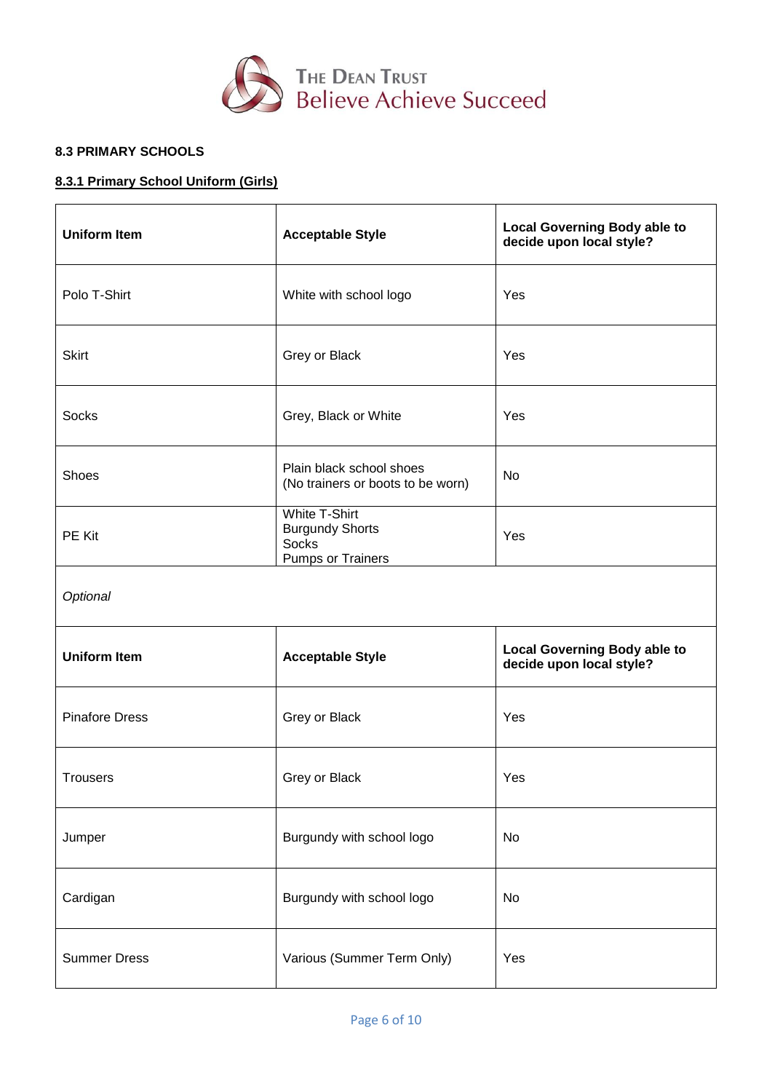

# **8.3 PRIMARY SCHOOLS**

 $\blacksquare$ 

## **8.3.1 Primary School Uniform (Girls)**

| <b>Uniform Item</b>                               | <b>Acceptable Style</b>                                                                    | <b>Local Governing Body able to</b><br>decide upon local style? |  |
|---------------------------------------------------|--------------------------------------------------------------------------------------------|-----------------------------------------------------------------|--|
| Polo T-Shirt                                      | White with school logo                                                                     | Yes                                                             |  |
| <b>Skirt</b>                                      | Grey or Black                                                                              | Yes                                                             |  |
| <b>Socks</b>                                      | Grey, Black or White                                                                       | Yes                                                             |  |
| Shoes                                             | Plain black school shoes<br>(No trainers or boots to be worn)                              | No                                                              |  |
| PE Kit                                            | <b>White T-Shirt</b><br><b>Burgundy Shorts</b><br><b>Socks</b><br><b>Pumps or Trainers</b> | Yes                                                             |  |
| Optional                                          |                                                                                            |                                                                 |  |
| <b>Uniform Item</b>                               | <b>Acceptable Style</b>                                                                    | <b>Local Governing Body able to</b><br>decide upon local style? |  |
| <b>Pinafore Dress</b>                             | Grey or Black                                                                              | Yes                                                             |  |
| <b>Trousers</b>                                   | Grey or Black                                                                              | Yes                                                             |  |
| Jumper                                            | Burgundy with school logo                                                                  | No                                                              |  |
| Cardigan                                          | Burgundy with school logo                                                                  | No                                                              |  |
| <b>Summer Dress</b><br>Various (Summer Term Only) |                                                                                            | Yes                                                             |  |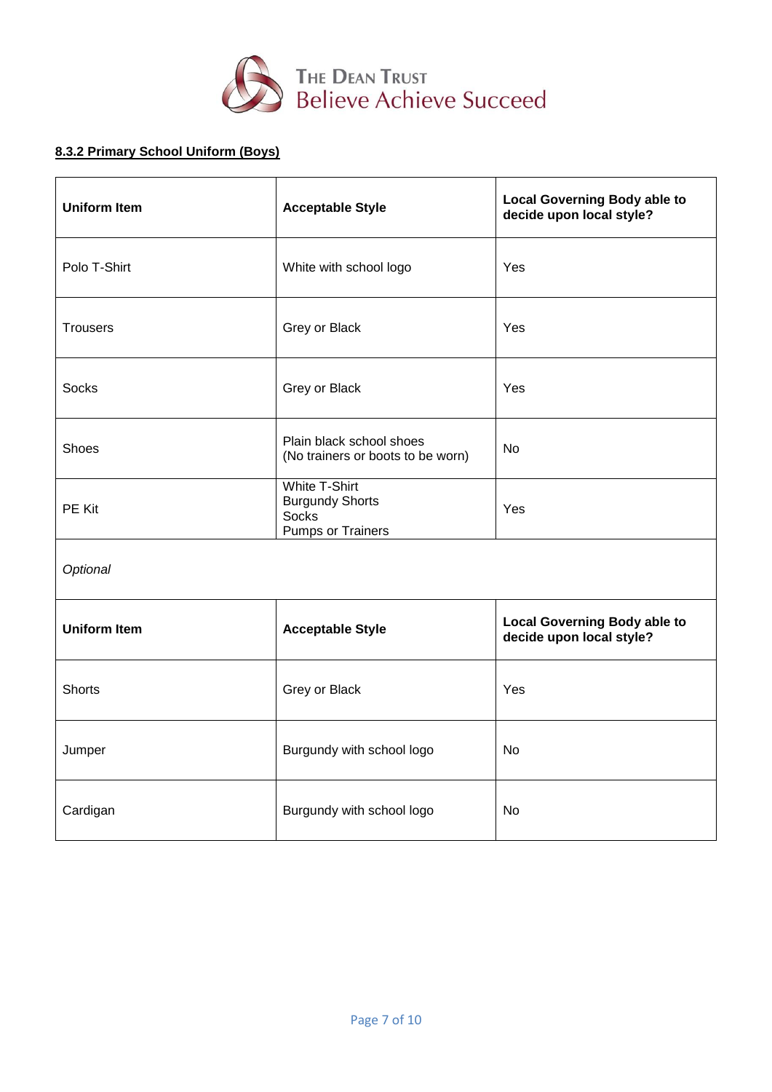

# **8.3.2 Primary School Uniform (Boys)**

| <b>Uniform Item</b><br><b>Acceptable Style</b> |                                                                                            | <b>Local Governing Body able to</b><br>decide upon local style? |  |
|------------------------------------------------|--------------------------------------------------------------------------------------------|-----------------------------------------------------------------|--|
| Polo T-Shirt                                   | White with school logo                                                                     |                                                                 |  |
| <b>Trousers</b>                                | Grey or Black                                                                              | Yes                                                             |  |
| <b>Socks</b>                                   | Grey or Black                                                                              | Yes                                                             |  |
| Shoes                                          | Plain black school shoes<br>(No trainers or boots to be worn)                              | <b>No</b>                                                       |  |
| PE Kit                                         | <b>White T-Shirt</b><br><b>Burgundy Shorts</b><br><b>Socks</b><br><b>Pumps or Trainers</b> | Yes                                                             |  |
| Optional                                       |                                                                                            |                                                                 |  |
| <b>Uniform Item</b>                            | <b>Acceptable Style</b>                                                                    | <b>Local Governing Body able to</b><br>decide upon local style? |  |
| <b>Shorts</b>                                  | Grey or Black                                                                              | Yes                                                             |  |
| Jumper                                         | Burgundy with school logo                                                                  | <b>No</b>                                                       |  |
| Cardigan                                       | Burgundy with school logo                                                                  | <b>No</b>                                                       |  |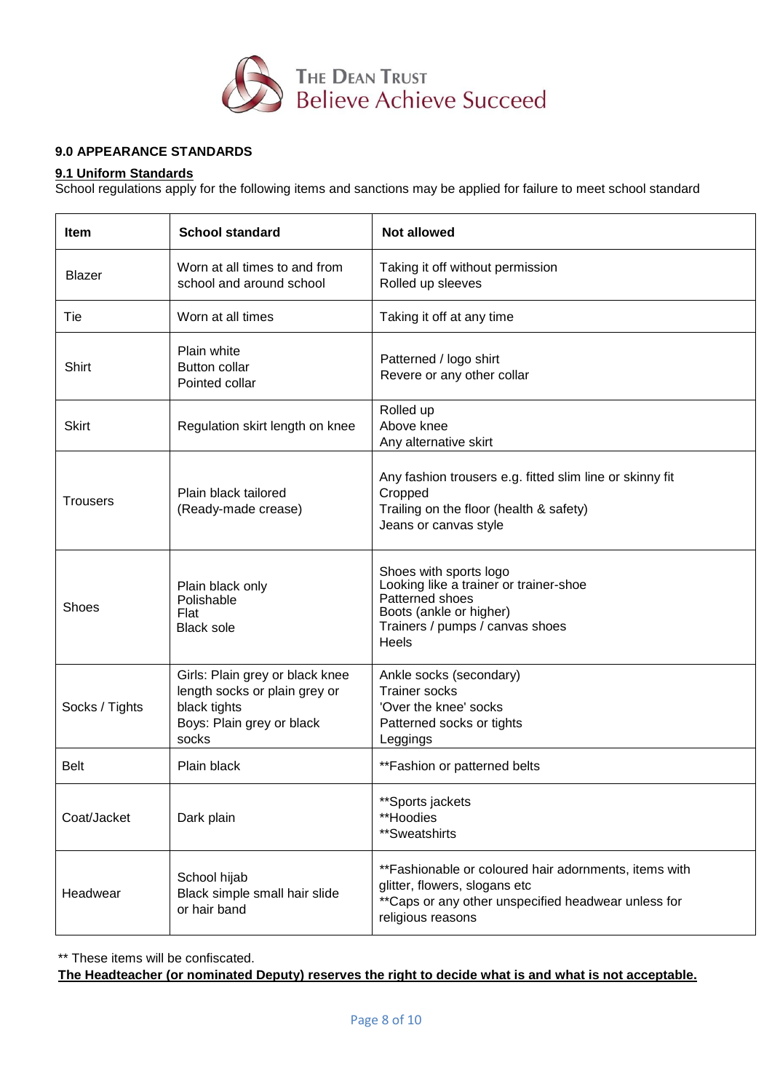

# **9.0 APPEARANCE STANDARDS**

## **9.1 Uniform Standards**

School regulations apply for the following items and sanctions may be applied for failure to meet school standard

| <b>Item</b>     | <b>School standard</b>                                                                                                 | <b>Not allowed</b>                                                                                                                                                  |
|-----------------|------------------------------------------------------------------------------------------------------------------------|---------------------------------------------------------------------------------------------------------------------------------------------------------------------|
| Blazer          | Worn at all times to and from<br>school and around school                                                              | Taking it off without permission<br>Rolled up sleeves                                                                                                               |
| Tie             | Worn at all times                                                                                                      | Taking it off at any time                                                                                                                                           |
| Shirt           | Plain white<br><b>Button collar</b><br>Pointed collar                                                                  | Patterned / logo shirt<br>Revere or any other collar                                                                                                                |
| <b>Skirt</b>    | Regulation skirt length on knee                                                                                        | Rolled up<br>Above knee<br>Any alternative skirt                                                                                                                    |
| <b>Trousers</b> | Plain black tailored<br>(Ready-made crease)                                                                            | Any fashion trousers e.g. fitted slim line or skinny fit<br>Cropped<br>Trailing on the floor (health & safety)<br>Jeans or canvas style                             |
| Shoes           | Plain black only<br>Polishable<br>Flat<br><b>Black sole</b>                                                            | Shoes with sports logo<br>Looking like a trainer or trainer-shoe<br>Patterned shoes<br>Boots (ankle or higher)<br>Trainers / pumps / canvas shoes<br><b>Heels</b>   |
| Socks / Tights  | Girls: Plain grey or black knee<br>length socks or plain grey or<br>black tights<br>Boys: Plain grey or black<br>socks | Ankle socks (secondary)<br><b>Trainer socks</b><br>'Over the knee' socks<br>Patterned socks or tights<br>Leggings                                                   |
| <b>Belt</b>     | Plain black                                                                                                            | ** Fashion or patterned belts                                                                                                                                       |
| Coat/Jacket     | Dark plain                                                                                                             | **Sports jackets<br>**Hoodies<br>**Sweatshirts                                                                                                                      |
| Headwear        | School hijab<br>Black simple small hair slide<br>or hair band                                                          | **Fashionable or coloured hair adornments, items with<br>glitter, flowers, slogans etc<br>** Caps or any other unspecified headwear unless for<br>religious reasons |

\*\* These items will be confiscated.

**The Headteacher (or nominated Deputy) reserves the right to decide what is and what is not acceptable.**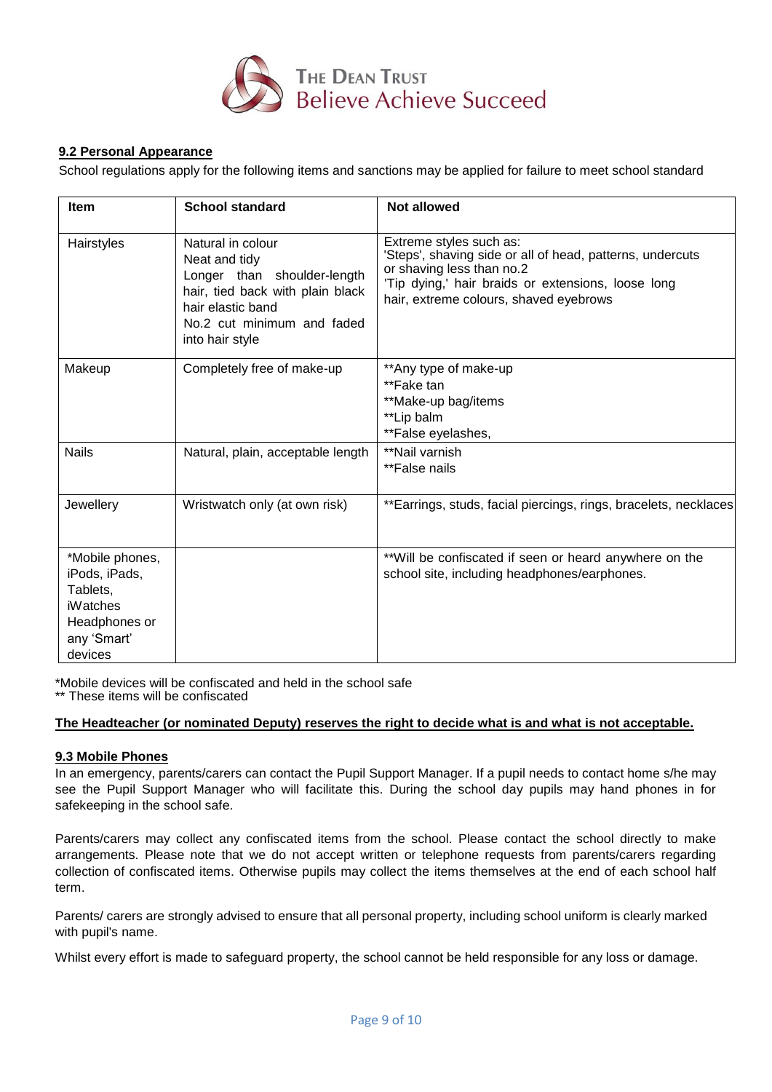

## **9.2 Personal Appearance**

School regulations apply for the following items and sanctions may be applied for failure to meet school standard

| <b>Item</b>                                                                                                | <b>School standard</b>                                                                                                                                                      | <b>Not allowed</b>                                                                                                                                                                                                |
|------------------------------------------------------------------------------------------------------------|-----------------------------------------------------------------------------------------------------------------------------------------------------------------------------|-------------------------------------------------------------------------------------------------------------------------------------------------------------------------------------------------------------------|
| Hairstyles                                                                                                 | Natural in colour<br>Neat and tidy<br>Longer than shoulder-length<br>hair, tied back with plain black<br>hair elastic band<br>No.2 cut minimum and faded<br>into hair style | Extreme styles such as:<br>'Steps', shaving side or all of head, patterns, undercuts<br>or shaving less than no.2<br>'Tip dying,' hair braids or extensions, loose long<br>hair, extreme colours, shaved eyebrows |
| Makeup                                                                                                     | Completely free of make-up                                                                                                                                                  | **Any type of make-up<br>**Fake tan<br>**Make-up bag/items<br>**Lip balm<br>**False eyelashes,                                                                                                                    |
| <b>Nails</b>                                                                                               | Natural, plain, acceptable length                                                                                                                                           | **Nail varnish<br>**False nails                                                                                                                                                                                   |
| Jewellery                                                                                                  | Wristwatch only (at own risk)                                                                                                                                               | **Earrings, studs, facial piercings, rings, bracelets, necklaces                                                                                                                                                  |
| *Mobile phones,<br>iPods, iPads,<br>Tablets,<br><b>iWatches</b><br>Headphones or<br>any 'Smart'<br>devices |                                                                                                                                                                             | **Will be confiscated if seen or heard anywhere on the<br>school site, including headphones/earphones.                                                                                                            |

\*Mobile devices will be confiscated and held in the school safe \*\* These items will be confiscated

**The Headteacher (or nominated Deputy) reserves the right to decide what is and what is not acceptable.**

## **9.3 Mobile Phones**

In an emergency, parents/carers can contact the Pupil Support Manager. If a pupil needs to contact home s/he may see the Pupil Support Manager who will facilitate this. During the school day pupils may hand phones in for safekeeping in the school safe.

Parents/carers may collect any confiscated items from the school. Please contact the school directly to make arrangements. Please note that we do not accept written or telephone requests from parents/carers regarding collection of confiscated items. Otherwise pupils may collect the items themselves at the end of each school half term.

Parents/ carers are strongly advised to ensure that all personal property, including school uniform is clearly marked with pupil's name.

Whilst every effort is made to safeguard property, the school cannot be held responsible for any loss or damage.